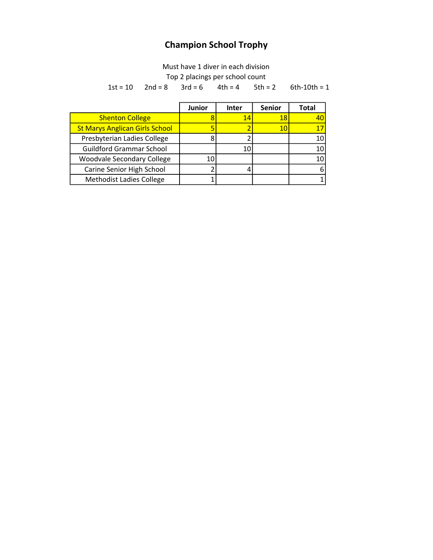## Champion School Trophy

Must have 1 diver in each division

Top 2 placings per school count

 $1st = 10$   $2nd = 8$   $3rd = 6$   $4th = 4$   $5th = 2$  $6th-10th = 1$ 

|                                       | <b>Junior</b> | <b>Inter</b> | <b>Senior</b> | <b>Total</b> |
|---------------------------------------|---------------|--------------|---------------|--------------|
| <b>Shenton College</b>                |               | 14           | 18            | 40           |
| <b>St Marys Anglican Girls School</b> |               | っ            | 10            |              |
| Presbyterian Ladies College           |               |              |               | 10           |
| <b>Guildford Grammar School</b>       |               | 10           |               | 10           |
| <b>Woodvale Secondary College</b>     | 10            |              |               | 10           |
| Carine Senior High School             |               | 4            |               | 6            |
| <b>Methodist Ladies College</b>       |               |              |               |              |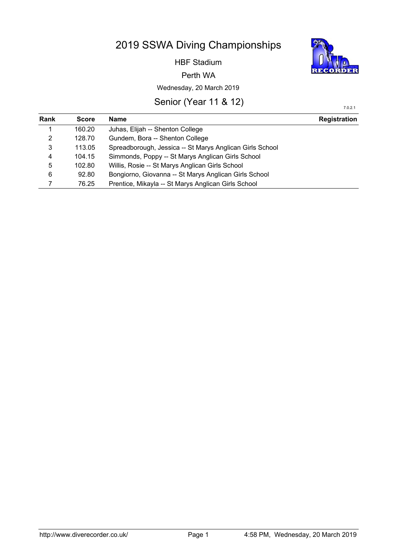# 2019 SSWA Diving Championships

HBF Stadium

Perth WA

## Wednesday, 20 March 2019

## Senior (Year 11 & 12)

| <b>Rank</b>    | <b>Score</b> | Name                                                     | <b>Registration</b> |
|----------------|--------------|----------------------------------------------------------|---------------------|
| 1              | 160.20       | Juhas, Elijah -- Shenton College                         |                     |
| 2              | 128.70       | Gundem, Bora -- Shenton College                          |                     |
| 3              | 113.05       | Spreadborough, Jessica -- St Marys Anglican Girls School |                     |
| $\overline{4}$ | 104.15       | Simmonds, Poppy -- St Marys Anglican Girls School        |                     |
| 5              | 102.80       | Willis, Rosie -- St Marys Anglican Girls School          |                     |
| 6              | 92.80        | Bongiorno, Giovanna -- St Marys Anglican Girls School    |                     |
|                | 76.25        | Prentice, Mikayla -- St Marys Anglican Girls School      |                     |
|                |              |                                                          |                     |

176

DER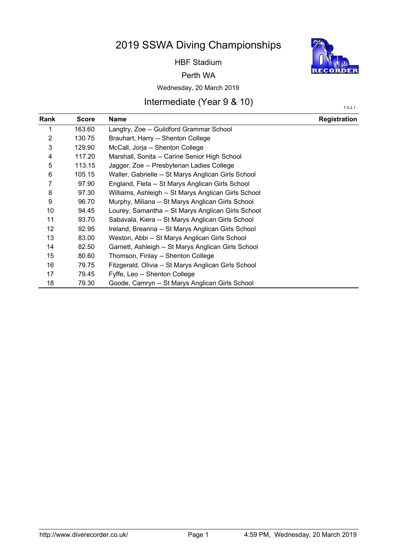# 2019 SSWA Diving Championships

HBF Stadium

#### Perth WA

### Wednesday, 20 March 2019

## Intermediate (Year 9 & 10)

| Rank           | <b>Score</b> | Name                                                 | <b>Registration</b> |
|----------------|--------------|------------------------------------------------------|---------------------|
| 1              | 163.60       | Langtry, Zoe -- Guildford Grammar School             |                     |
| $\overline{2}$ | 130.75       | Brauhart, Harry -- Shenton College                   |                     |
| 3              | 129.90       | McCall, Jorja -- Shenton College                     |                     |
| 4              | 117.20       | Marshall, Sonita -- Carine Senior High School        |                     |
| 5              | 113.15       | Jagger, Zoe -- Presbyterian Ladies College           |                     |
| 6              | 105.15       | Waller, Gabrielle -- St Marys Anglican Girls School  |                     |
| 7              | 97.90        | England, Fleta -- St Marys Anglican Girls School     |                     |
| 8              | 97.30        | Williams, Ashleigh -- St Marys Anglican Girls School |                     |
| 9              | 96.70        | Murphy, Miliana -- St Marys Anglican Girls School    |                     |
| 10             | 94.45        | Lourey, Samantha -- St Marys Anglican Girls School   |                     |
| 11             | 93.70        | Sabavala, Kiera -- St Marys Anglican Girls School    |                     |
| 12             | 92.95        | Ireland, Breanna -- St Marys Anglican Girls School   |                     |
| 13             | 83.00        | Weston, Abbi -- St Marys Anglican Girls School       |                     |
| 14             | 82.50        | Garnett, Ashleigh -- St Marys Anglican Girls School  |                     |
| 15             | 80.60        | Thomson, Finlay -- Shenton College                   |                     |
| 16             | 79.75        | Fitzgerald, Olivia -- St Marys Anglican Girls School |                     |
| 17             | 79.45        | Fyffe, Leo -- Shenton College                        |                     |
| 18             | 79.30        | Goode, Camryn -- St Marys Anglican Girls School      |                     |



7.0.2.1